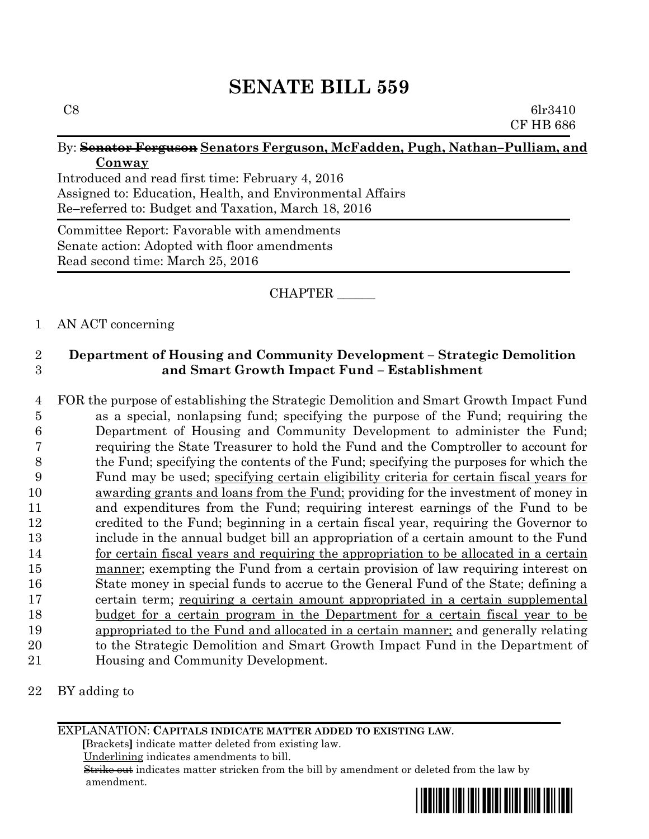# **SENATE BILL 559**

### By: **Senator Ferguson Senators Ferguson, McFadden, Pugh, Nathan–Pulliam, and Conway**

Introduced and read first time: February 4, 2016 Assigned to: Education, Health, and Environmental Affairs Re–referred to: Budget and Taxation, March 18, 2016

Committee Report: Favorable with amendments Senate action: Adopted with floor amendments Read second time: March 25, 2016

## CHAPTER \_\_\_\_\_\_

### 1 AN ACT concerning

# 2 **Department of Housing and Community Development – Strategic Demolition**  3 **and Smart Growth Impact Fund – Establishment**

 FOR the purpose of establishing the Strategic Demolition and Smart Growth Impact Fund as a special, nonlapsing fund; specifying the purpose of the Fund; requiring the Department of Housing and Community Development to administer the Fund; requiring the State Treasurer to hold the Fund and the Comptroller to account for the Fund; specifying the contents of the Fund; specifying the purposes for which the Fund may be used; specifying certain eligibility criteria for certain fiscal years for awarding grants and loans from the Fund; providing for the investment of money in and expenditures from the Fund; requiring interest earnings of the Fund to be credited to the Fund; beginning in a certain fiscal year, requiring the Governor to include in the annual budget bill an appropriation of a certain amount to the Fund 14 for certain fiscal years and requiring the appropriation to be allocated in a certain manner; exempting the Fund from a certain provision of law requiring interest on State money in special funds to accrue to the General Fund of the State; defining a certain term; requiring a certain amount appropriated in a certain supplemental budget for a certain program in the Department for a certain fiscal year to be appropriated to the Fund and allocated in a certain manner; and generally relating to the Strategic Demolition and Smart Growth Impact Fund in the Department of Housing and Community Development.

22 BY adding to

EXPLANATION: **CAPITALS INDICATE MATTER ADDED TO EXISTING LAW**.

 **[**Brackets**]** indicate matter deleted from existing law.

Underlining indicates amendments to bill.

 Strike out indicates matter stricken from the bill by amendment or deleted from the law by amendment.

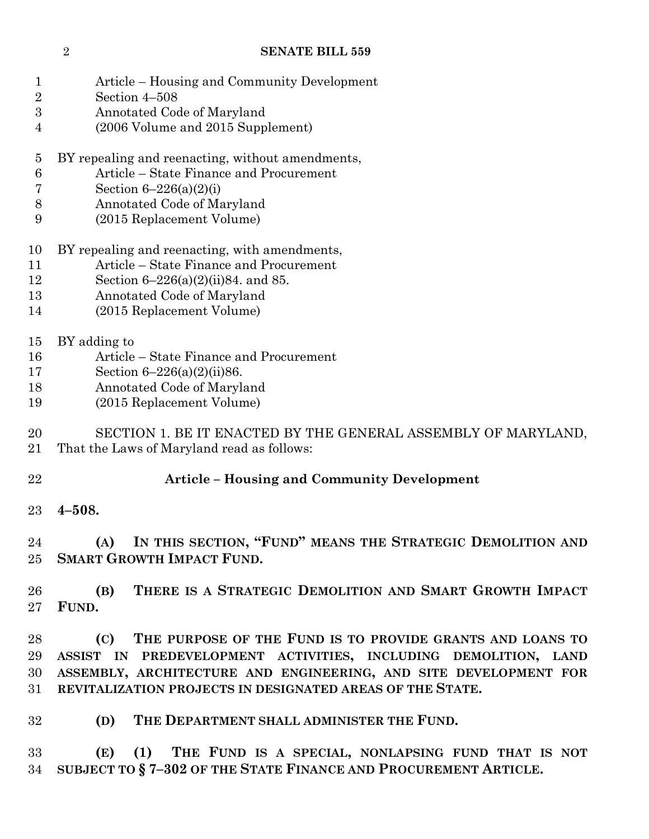#### **SENATE BILL 559**

| Article – Housing and Community Development |
|---------------------------------------------|
|                                             |

- Section 4–508
- Annotated Code of Maryland
- (2006 Volume and 2015 Supplement)
- BY repealing and reenacting, without amendments,
- Article State Finance and Procurement
- Section 6–226(a)(2)(i)
- Annotated Code of Maryland
- (2015 Replacement Volume)
- BY repealing and reenacting, with amendments,
- Article State Finance and Procurement
- Section 6–226(a)(2)(ii)84. and 85.
- Annotated Code of Maryland
- (2015 Replacement Volume)
- BY adding to
- Article State Finance and Procurement
- Section 6–226(a)(2)(ii)86.
- Annotated Code of Maryland
- (2015 Replacement Volume)

 SECTION 1. BE IT ENACTED BY THE GENERAL ASSEMBLY OF MARYLAND, That the Laws of Maryland read as follows:

# **Article – Housing and Community Development**

**4–508.**

 **(A) IN THIS SECTION, "FUND" MEANS THE STRATEGIC DEMOLITION AND SMART GROWTH IMPACT FUND.**

 **(B) THERE IS A STRATEGIC DEMOLITION AND SMART GROWTH IMPACT FUND.**

 **(C) THE PURPOSE OF THE FUND IS TO PROVIDE GRANTS AND LOANS TO ASSIST IN PREDEVELOPMENT ACTIVITIES, INCLUDING DEMOLITION, LAND ASSEMBLY, ARCHITECTURE AND ENGINEERING, AND SITE DEVELOPMENT FOR REVITALIZATION PROJECTS IN DESIGNATED AREAS OF THE STATE.**

**(D) THE DEPARTMENT SHALL ADMINISTER THE FUND.**

 **(E) (1) THE FUND IS A SPECIAL, NONLAPSING FUND THAT IS NOT SUBJECT TO § 7–302 OF THE STATE FINANCE AND PROCUREMENT ARTICLE.**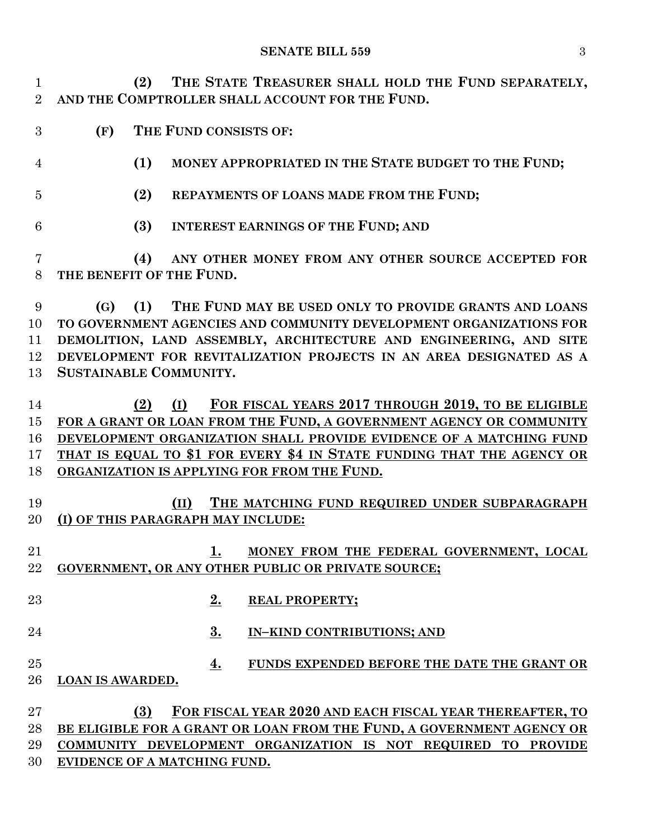#### **SENATE BILL 559** 3

 **(2) THE STATE TREASURER SHALL HOLD THE FUND SEPARATELY, AND THE COMPTROLLER SHALL ACCOUNT FOR THE FUND.**

- **(F) THE FUND CONSISTS OF:**
- **(1) MONEY APPROPRIATED IN THE STATE BUDGET TO THE FUND;**
- **(2) REPAYMENTS OF LOANS MADE FROM THE FUND;**
- **(3) INTEREST EARNINGS OF THE FUND; AND**

 **(4) ANY OTHER MONEY FROM ANY OTHER SOURCE ACCEPTED FOR THE BENEFIT OF THE FUND.**

 **(G) (1) THE FUND MAY BE USED ONLY TO PROVIDE GRANTS AND LOANS TO GOVERNMENT AGENCIES AND COMMUNITY DEVELOPMENT ORGANIZATIONS FOR DEMOLITION, LAND ASSEMBLY, ARCHITECTURE AND ENGINEERING, AND SITE DEVELOPMENT FOR REVITALIZATION PROJECTS IN AN AREA DESIGNATED AS A SUSTAINABLE COMMUNITY.**

 **(2) (I) FOR FISCAL YEARS 2017 THROUGH 2019, TO BE ELIGIBLE FOR A GRANT OR LOAN FROM THE FUND, A GOVERNMENT AGENCY OR COMMUNITY DEVELOPMENT ORGANIZATION SHALL PROVIDE EVIDENCE OF A MATCHING FUND THAT IS EQUAL TO \$1 FOR EVERY \$4 IN STATE FUNDING THAT THE AGENCY OR ORGANIZATION IS APPLYING FOR FROM THE FUND.**

- **(II) THE MATCHING FUND REQUIRED UNDER SUBPARAGRAPH (I) OF THIS PARAGRAPH MAY INCLUDE:**
- **1. MONEY FROM THE FEDERAL GOVERNMENT, LOCAL GOVERNMENT, OR ANY OTHER PUBLIC OR PRIVATE SOURCE;**
- **2. REAL PROPERTY;**
- **3. IN–KIND CONTRIBUTIONS; AND**
- **4. FUNDS EXPENDED BEFORE THE DATE THE GRANT OR LOAN IS AWARDED.**

 **(3) FOR FISCAL YEAR 2020 AND EACH FISCAL YEAR THEREAFTER, TO BE ELIGIBLE FOR A GRANT OR LOAN FROM THE FUND, A GOVERNMENT AGENCY OR COMMUNITY DEVELOPMENT ORGANIZATION IS NOT REQUIRED TO PROVIDE EVIDENCE OF A MATCHING FUND.**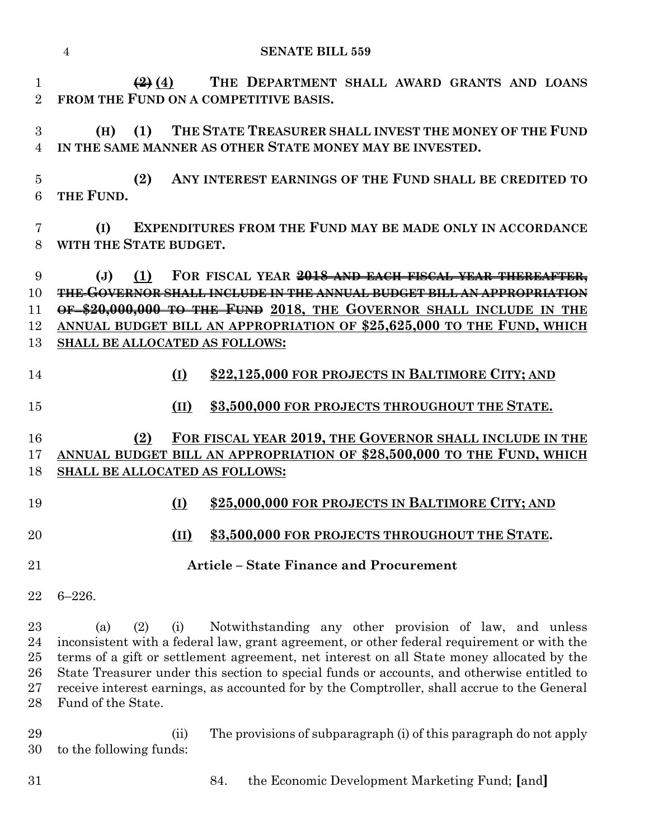**(2) (4) THE DEPARTMENT SHALL AWARD GRANTS AND LOANS FROM THE FUND ON A COMPETITIVE BASIS.**

 **(H) (1) THE STATE TREASURER SHALL INVEST THE MONEY OF THE FUND IN THE SAME MANNER AS OTHER STATE MONEY MAY BE INVESTED.**

 **(2) ANY INTEREST EARNINGS OF THE FUND SHALL BE CREDITED TO THE FUND.**

 **(I) EXPENDITURES FROM THE FUND MAY BE MADE ONLY IN ACCORDANCE WITH THE STATE BUDGET.**

 **(J) (1) FOR FISCAL YEAR 2018 AND EACH FISCAL YEAR THEREAFTER, THE GOVERNOR SHALL INCLUDE IN THE ANNUAL BUDGET BILL AN APPROPRIATION OF \$20,000,000 TO THE FUND 2018, THE GOVERNOR SHALL INCLUDE IN THE ANNUAL BUDGET BILL AN APPROPRIATION OF \$25,625,000 TO THE FUND, WHICH SHALL BE ALLOCATED AS FOLLOWS:**

# **(I) \$22,125,000 FOR PROJECTS IN BALTIMORE CITY; AND**

**(II) \$3,500,000 FOR PROJECTS THROUGHOUT THE STATE.**

# **(2) FOR FISCAL YEAR 2019, THE GOVERNOR SHALL INCLUDE IN THE ANNUAL BUDGET BILL AN APPROPRIATION OF \$28,500,000 TO THE FUND, WHICH SHALL BE ALLOCATED AS FOLLOWS:**

- **(I) \$25,000,000 FOR PROJECTS IN BALTIMORE CITY; AND (II) \$3,500,000 FOR PROJECTS THROUGHOUT THE STATE.**
- **Article – State Finance and Procurement**
- 6–226.

 (a) (2) (i) Notwithstanding any other provision of law, and unless inconsistent with a federal law, grant agreement, or other federal requirement or with the terms of a gift or settlement agreement, net interest on all State money allocated by the State Treasurer under this section to special funds or accounts, and otherwise entitled to receive interest earnings, as accounted for by the Comptroller, shall accrue to the General Fund of the State.

 (ii) The provisions of subparagraph (i) of this paragraph do not apply to the following funds:

84. the Economic Development Marketing Fund; **[**and**]**